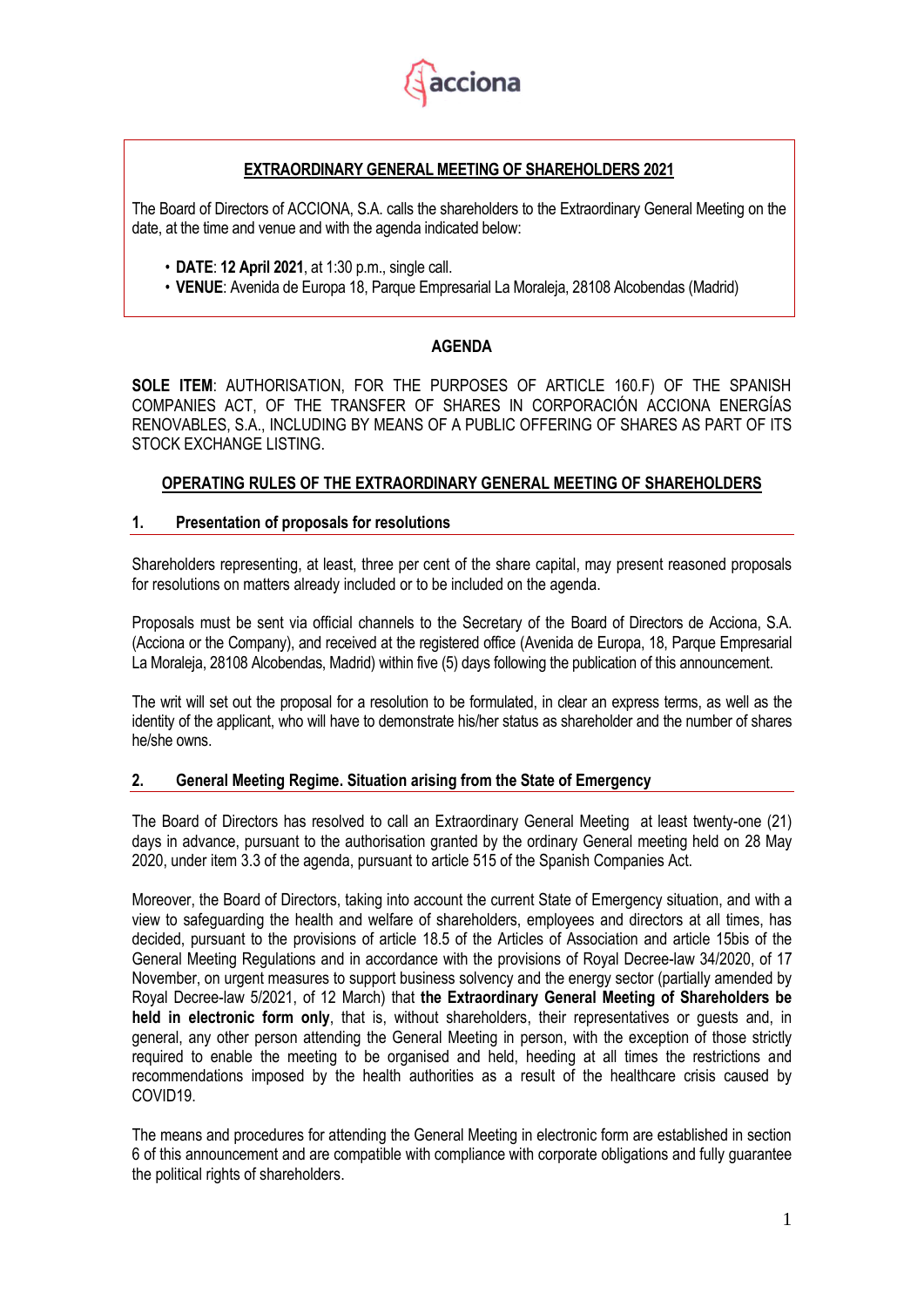

# **EXTRAORDINARY GENERAL MEETING OF SHAREHOLDERS 2021**

The Board of Directors of ACCIONA, S.A. calls the shareholders to the Extraordinary General Meeting on the date, at the time and venue and with the agenda indicated below:

- **DATE**: **12 April 2021**, at 1:30 p.m., single call.
- **VENUE**: Avenida de Europa 18, Parque Empresarial La Moraleja, 28108 Alcobendas (Madrid)

# **AGENDA**

**SOLE ITEM**: AUTHORISATION, FOR THE PURPOSES OF ARTICLE 160.F) OF THE SPANISH COMPANIES ACT, OF THE TRANSFER OF SHARES IN CORPORACIÓN ACCIONA ENERGÍAS RENOVABLES, S.A., INCLUDING BY MEANS OF A PUBLIC OFFERING OF SHARES AS PART OF ITS STOCK EXCHANGE LISTING.

# **OPERATING RULES OF THE EXTRAORDINARY GENERAL MEETING OF SHAREHOLDERS**

# **1. Presentation of proposals for resolutions**

Shareholders representing, at least, three per cent of the share capital, may present reasoned proposals for resolutions on matters already included or to be included on the agenda.

Proposals must be sent via official channels to the Secretary of the Board of Directors de Acciona, S.A. (Acciona or the Company), and received at the registered office (Avenida de Europa, 18, Parque Empresarial La Moraleja, 28108 Alcobendas, Madrid) within five (5) days following the publication of this announcement.

The writ will set out the proposal for a resolution to be formulated, in clear an express terms, as well as the identity of the applicant, who will have to demonstrate his/her status as shareholder and the number of shares he/she owns.

# **2. General Meeting Regime. Situation arising from the State of Emergency**

The Board of Directors has resolved to call an Extraordinary General Meeting at least twenty-one (21) days in advance, pursuant to the authorisation granted by the ordinary General meeting held on 28 May 2020, under item 3.3 of the agenda, pursuant to article 515 of the Spanish Companies Act.

Moreover, the Board of Directors, taking into account the current State of Emergency situation, and with a view to safeguarding the health and welfare of shareholders, employees and directors at all times, has decided, pursuant to the provisions of article 18.5 of the Articles of Association and article 15bis of the General Meeting Regulations and in accordance with the provisions of Royal Decree-law 34/2020, of 17 November, on urgent measures to support business solvency and the energy sector (partially amended by Royal Decree-law 5/2021, of 12 March) that **the Extraordinary General Meeting of Shareholders be held in electronic form only**, that is, without shareholders, their representatives or guests and, in general, any other person attending the General Meeting in person, with the exception of those strictly required to enable the meeting to be organised and held, heeding at all times the restrictions and recommendations imposed by the health authorities as a result of the healthcare crisis caused by COVID19.

The means and procedures for attending the General Meeting in electronic form are established in section 6 of this announcement and are compatible with compliance with corporate obligations and fully guarantee the political rights of shareholders.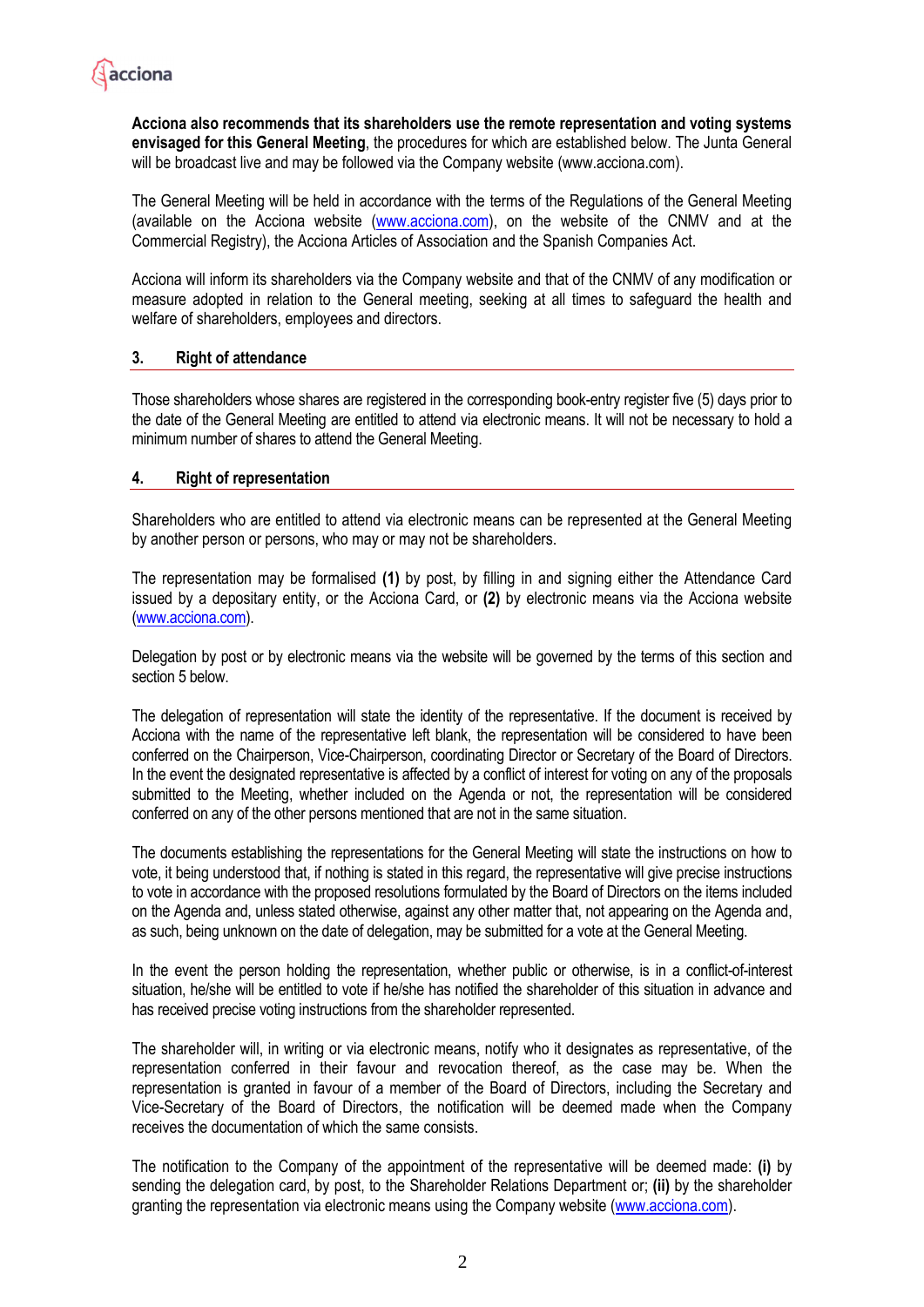

**Acciona also recommends that its shareholders use the remote representation and voting systems envisaged for this General Meeting**, the procedures for which are established below. The Junta General will be broadcast live and may be followed via the Company website (www.acciona.com).

The General Meeting will be held in accordance with the terms of the Regulations of the General Meeting (available on the Acciona website (www.acciona.com), on the website of the CNMV and at the Commercial Registry), the Acciona Articles of Association and the Spanish Companies Act.

Acciona will inform its shareholders via the Company website and that of the CNMV of any modification or measure adopted in relation to the General meeting, seeking at all times to safeguard the health and welfare of shareholders, employees and directors.

# **3. Right of attendance**

Those shareholders whose shares are registered in the corresponding book-entry register five (5) days prior to the date of the General Meeting are entitled to attend via electronic means. It will not be necessary to hold a minimum number of shares to attend the General Meeting.

### **4. Right of representation**

Shareholders who are entitled to attend via electronic means can be represented at the General Meeting by another person or persons, who may or may not be shareholders.

The representation may be formalised **(1)** by post, by filling in and signing either the Attendance Card issued by a depositary entity, or the Acciona Card, or **(2)** by electronic means via the Acciona website [\(www.acciona.com\)](http://www.acciona.com/).

Delegation by post or by electronic means via the website will be governed by the terms of this section and section 5 below.

The delegation of representation will state the identity of the representative. If the document is received by Acciona with the name of the representative left blank, the representation will be considered to have been conferred on the Chairperson, Vice-Chairperson, coordinating Director or Secretary of the Board of Directors. In the event the designated representative is affected by a conflict of interest for voting on any of the proposals submitted to the Meeting, whether included on the Agenda or not, the representation will be considered conferred on any of the other persons mentioned that are not in the same situation.

The documents establishing the representations for the General Meeting will state the instructions on how to vote, it being understood that, if nothing is stated in this regard, the representative will give precise instructions to vote in accordance with the proposed resolutions formulated by the Board of Directors on the items included on the Agenda and, unless stated otherwise, against any other matter that, not appearing on the Agenda and, as such, being unknown on the date of delegation, may be submitted for a vote at the General Meeting.

In the event the person holding the representation, whether public or otherwise, is in a conflict-of-interest situation, he/she will be entitled to vote if he/she has notified the shareholder of this situation in advance and has received precise voting instructions from the shareholder represented.

The shareholder will, in writing or via electronic means, notify who it designates as representative, of the representation conferred in their favour and revocation thereof, as the case may be. When the representation is granted in favour of a member of the Board of Directors, including the Secretary and Vice-Secretary of the Board of Directors, the notification will be deemed made when the Company receives the documentation of which the same consists.

The notification to the Company of the appointment of the representative will be deemed made: **(i)** by sending the delegation card, by post, to the Shareholder Relations Department or; **(ii)** by the shareholder granting the representation via electronic means using the Company website [\(www.acciona.com\)](http://www.acciona.com/).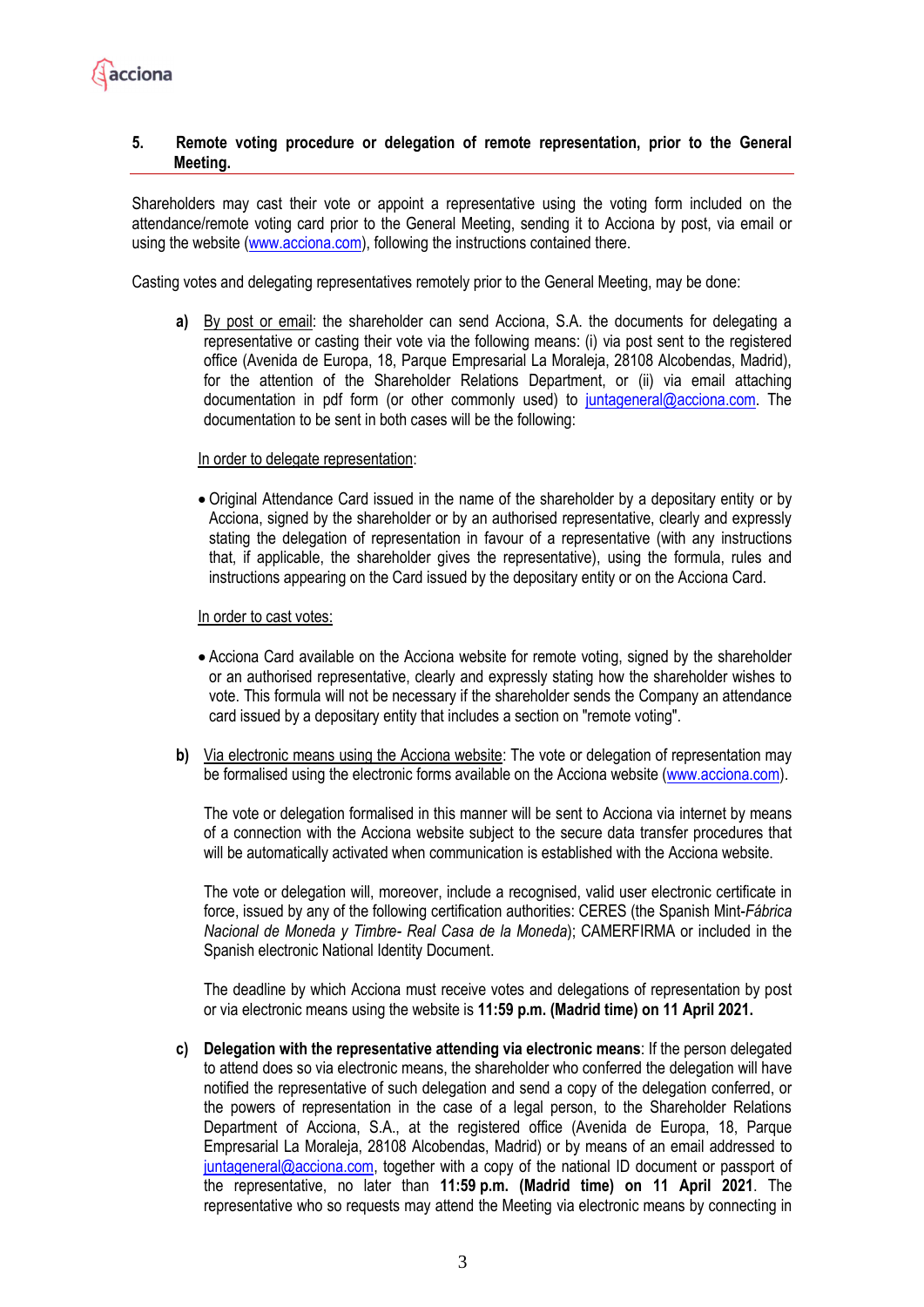

# **5. Remote voting procedure or delegation of remote representation, prior to the General Meeting.**

Shareholders may cast their vote or appoint a representative using the voting form included on the attendance/remote voting card prior to the General Meeting, sending it to Acciona by post, via email or using the website (www.acciona.com), following the instructions contained there.

Casting votes and delegating representatives remotely prior to the General Meeting, may be done:

**a)** By post or email: the shareholder can send Acciona, S.A. the documents for delegating a representative or casting their vote via the following means: (i) via post sent to the registered office (Avenida de Europa, 18, Parque Empresarial La Moraleja, 28108 Alcobendas, Madrid), for the attention of the Shareholder Relations Department, or (ii) via email attaching documentation in pdf form (or other commonly used) to [juntageneral@acciona.com.](mailto:juntageneral@acciona.com) The documentation to be sent in both cases will be the following:

### In order to delegate representation:

• Original Attendance Card issued in the name of the shareholder by a depositary entity or by Acciona, signed by the shareholder or by an authorised representative, clearly and expressly stating the delegation of representation in favour of a representative (with any instructions that, if applicable, the shareholder gives the representative), using the formula, rules and instructions appearing on the Card issued by the depositary entity or on the Acciona Card.

#### In order to cast votes:

- Acciona Card available on the Acciona website for remote voting, signed by the shareholder or an authorised representative, clearly and expressly stating how the shareholder wishes to vote. This formula will not be necessary if the shareholder sends the Company an attendance card issued by a depositary entity that includes a section on "remote voting".
- **b)** Via electronic means using the Acciona website: The vote or delegation of representation may be formalised using the electronic forms available on the Acciona website [\(www.acciona.com\)](http://www.acciona.com/).

The vote or delegation formalised in this manner will be sent to Acciona via internet by means of a connection with the Acciona website subject to the secure data transfer procedures that will be automatically activated when communication is established with the Acciona website.

The vote or delegation will, moreover, include a recognised, valid user electronic certificate in force, issued by any of the following certification authorities: CERES (the Spanish Mint-*Fábrica Nacional de Moneda y Timbre- Real Casa de la Moneda*); CAMERFIRMA or included in the Spanish electronic National Identity Document.

The deadline by which Acciona must receive votes and delegations of representation by post or via electronic means using the website is **11:59 p.m. (Madrid time) on 11 April 2021.**

**c) Delegation with the representative attending via electronic means**: If the person delegated to attend does so via electronic means, the shareholder who conferred the delegation will have notified the representative of such delegation and send a copy of the delegation conferred, or the powers of representation in the case of a legal person, to the Shareholder Relations Department of Acciona, S.A., at the registered office (Avenida de Europa, 18, Parque Empresarial La Moraleja, 28108 Alcobendas, Madrid) or by means of an email addressed to [juntageneral@acciona.com,](mailto:juntageneral@acciona.com) together with a copy of the national ID document or passport of the representative, no later than **11:59 p.m. (Madrid time) on 11 April 2021**. The representative who so requests may attend the Meeting via electronic means by connecting in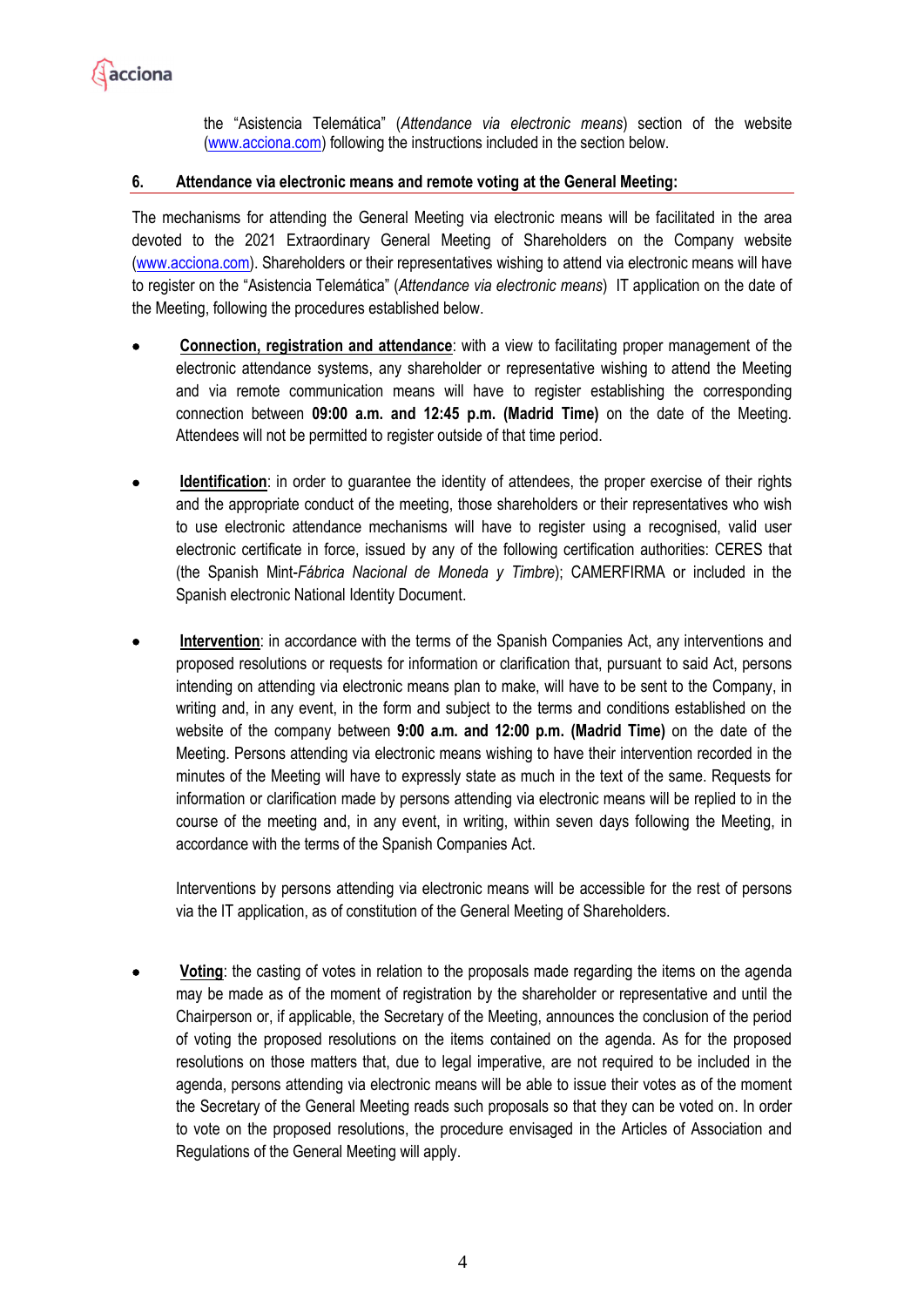

the "Asistencia Telemática" (*Attendance via electronic means*) section of the website [\(www.acciona.com\)](http://www.acciona.com/) following the instructions included in the section below.

# **6. Attendance via electronic means and remote voting at the General Meeting:**

The mechanisms for attending the General Meeting via electronic means will be facilitated in the area devoted to the 2021 Extraordinary General Meeting of Shareholders on the Company website [\(www.acciona.com\)](https://clicktime.symantec.com/35hRM34WBqiUUiYP83njxEC6H2?u=http%3A%2F%2Fwww.xxxxxxx.com). Shareholders or their representatives wishing to attend via electronic means will have to register on the "Asistencia Telemática" (*Attendance via electronic means*) IT application on the date of the Meeting, following the procedures established below.

- **Connection, registration and attendance**: with a view to facilitating proper management of the electronic attendance systems, any shareholder or representative wishing to attend the Meeting and via remote communication means will have to register establishing the corresponding connection between **09:00 a.m. and 12:45 p.m. (Madrid Time)** on the date of the Meeting. Attendees will not be permitted to register outside of that time period.
- **Identification**: in order to guarantee the identity of attendees, the proper exercise of their rights and the appropriate conduct of the meeting, those shareholders or their representatives who wish to use electronic attendance mechanisms will have to register using a recognised, valid user electronic certificate in force, issued by any of the following certification authorities: CERES that (the Spanish Mint-*Fábrica Nacional de Moneda y Timbre*); CAMERFIRMA or included in the Spanish electronic National Identity Document.
- **Intervention**: in accordance with the terms of the Spanish Companies Act, any interventions and proposed resolutions or requests for information or clarification that, pursuant to said Act, persons intending on attending via electronic means plan to make, will have to be sent to the Company, in writing and, in any event, in the form and subject to the terms and conditions established on the website of the company between **9:00 a.m. and 12:00 p.m. (Madrid Time)** on the date of the Meeting. Persons attending via electronic means wishing to have their intervention recorded in the minutes of the Meeting will have to expressly state as much in the text of the same. Requests for information or clarification made by persons attending via electronic means will be replied to in the course of the meeting and, in any event, in writing, within seven days following the Meeting, in accordance with the terms of the Spanish Companies Act.

Interventions by persons attending via electronic means will be accessible for the rest of persons via the IT application, as of constitution of the General Meeting of Shareholders.

**Voting**: the casting of votes in relation to the proposals made regarding the items on the agenda may be made as of the moment of registration by the shareholder or representative and until the Chairperson or, if applicable, the Secretary of the Meeting, announces the conclusion of the period of voting the proposed resolutions on the items contained on the agenda. As for the proposed resolutions on those matters that, due to legal imperative, are not required to be included in the agenda, persons attending via electronic means will be able to issue their votes as of the moment the Secretary of the General Meeting reads such proposals so that they can be voted on. In order to vote on the proposed resolutions, the procedure envisaged in the Articles of Association and Regulations of the General Meeting will apply.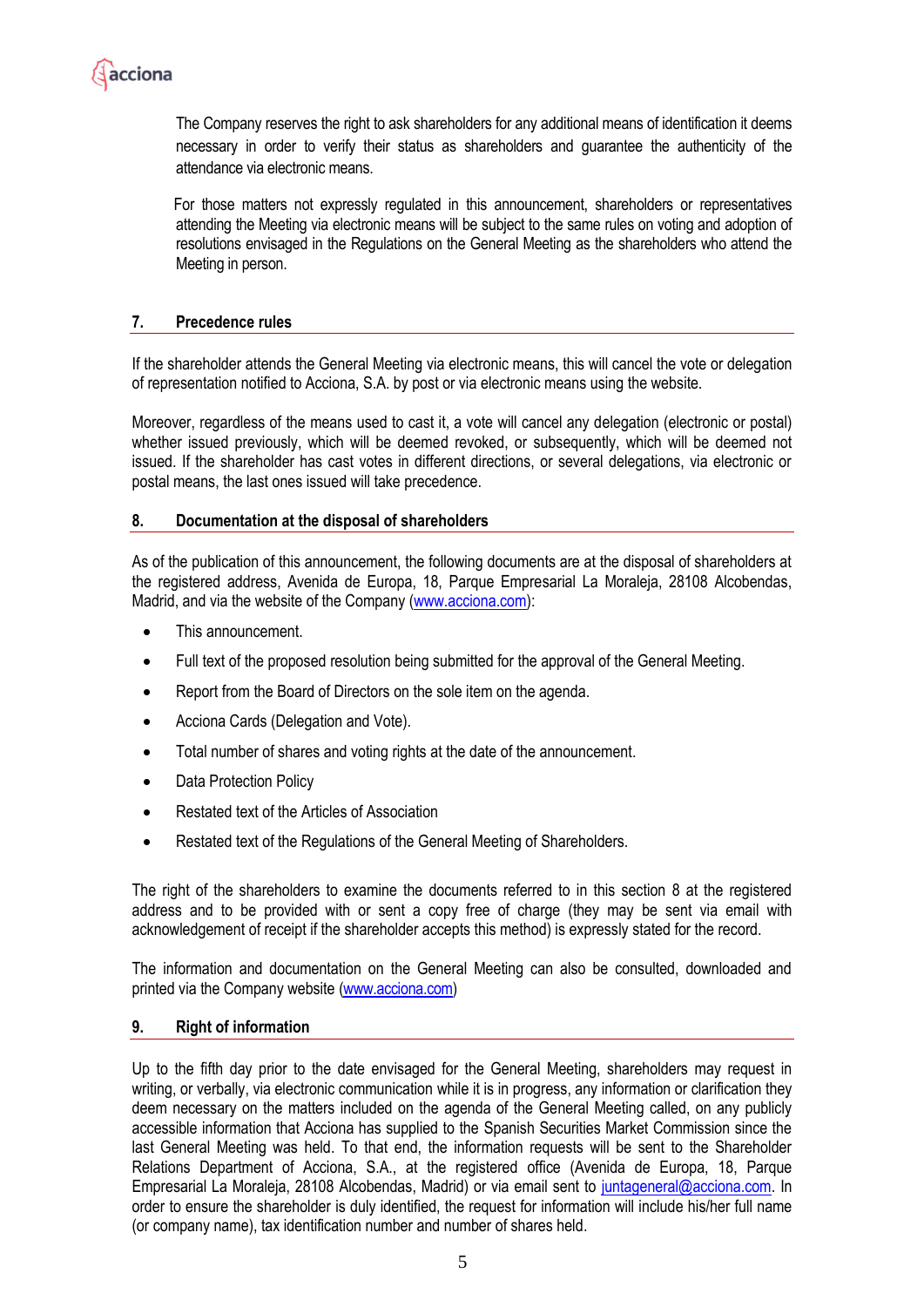

The Company reserves the right to ask shareholders for any additional means of identification it deems necessary in order to verify their status as shareholders and guarantee the authenticity of the attendance via electronic means.

For those matters not expressly regulated in this announcement, shareholders or representatives attending the Meeting via electronic means will be subject to the same rules on voting and adoption of resolutions envisaged in the Regulations on the General Meeting as the shareholders who attend the Meeting in person.

# **7. Precedence rules**

If the shareholder attends the General Meeting via electronic means, this will cancel the vote or delegation of representation notified to Acciona, S.A. by post or via electronic means using the website.

Moreover, regardless of the means used to cast it, a vote will cancel any delegation (electronic or postal) whether issued previously, which will be deemed revoked, or subsequently, which will be deemed not issued. If the shareholder has cast votes in different directions, or several delegations, via electronic or postal means, the last ones issued will take precedence.

# **8. Documentation at the disposal of shareholders**

As of the publication of this announcement, the following documents are at the disposal of shareholders at the registered address, Avenida de Europa, 18, Parque Empresarial La Moraleja, 28108 Alcobendas, Madrid, and via the website of the Company [\(www.acciona.com\)](http://www.acciona.com/):

- This announcement.
- Full text of the proposed resolution being submitted for the approval of the General Meeting.
- Report from the Board of Directors on the sole item on the agenda.
- Acciona Cards (Delegation and Vote).
- Total number of shares and voting rights at the date of the announcement.
- Data Protection Policy
- Restated text of the Articles of Association
- Restated text of the Regulations of the General Meeting of Shareholders.

The right of the shareholders to examine the documents referred to in this section 8 at the registered address and to be provided with or sent a copy free of charge (they may be sent via email with acknowledgement of receipt if the shareholder accepts this method) is expressly stated for the record.

The information and documentation on the General Meeting can also be consulted, downloaded and printed via the Company website [\(www.acciona.com\)](http://www.acciona.com/)

# **9. Right of information**

Up to the fifth day prior to the date envisaged for the General Meeting, shareholders may request in writing, or verbally, via electronic communication while it is in progress, any information or clarification they deem necessary on the matters included on the agenda of the General Meeting called, on any publicly accessible information that Acciona has supplied to the Spanish Securities Market Commission since the last General Meeting was held. To that end, the information requests will be sent to the Shareholder Relations Department of Acciona, S.A., at the registered office (Avenida de Europa, 18, Parque Empresarial La Moraleja, 28108 Alcobendas, Madrid) or via email sent to [juntageneral@acciona.com.](mailto:juntageneral@acciona.com) In order to ensure the shareholder is duly identified, the request for information will include his/her full name (or company name), tax identification number and number of shares held.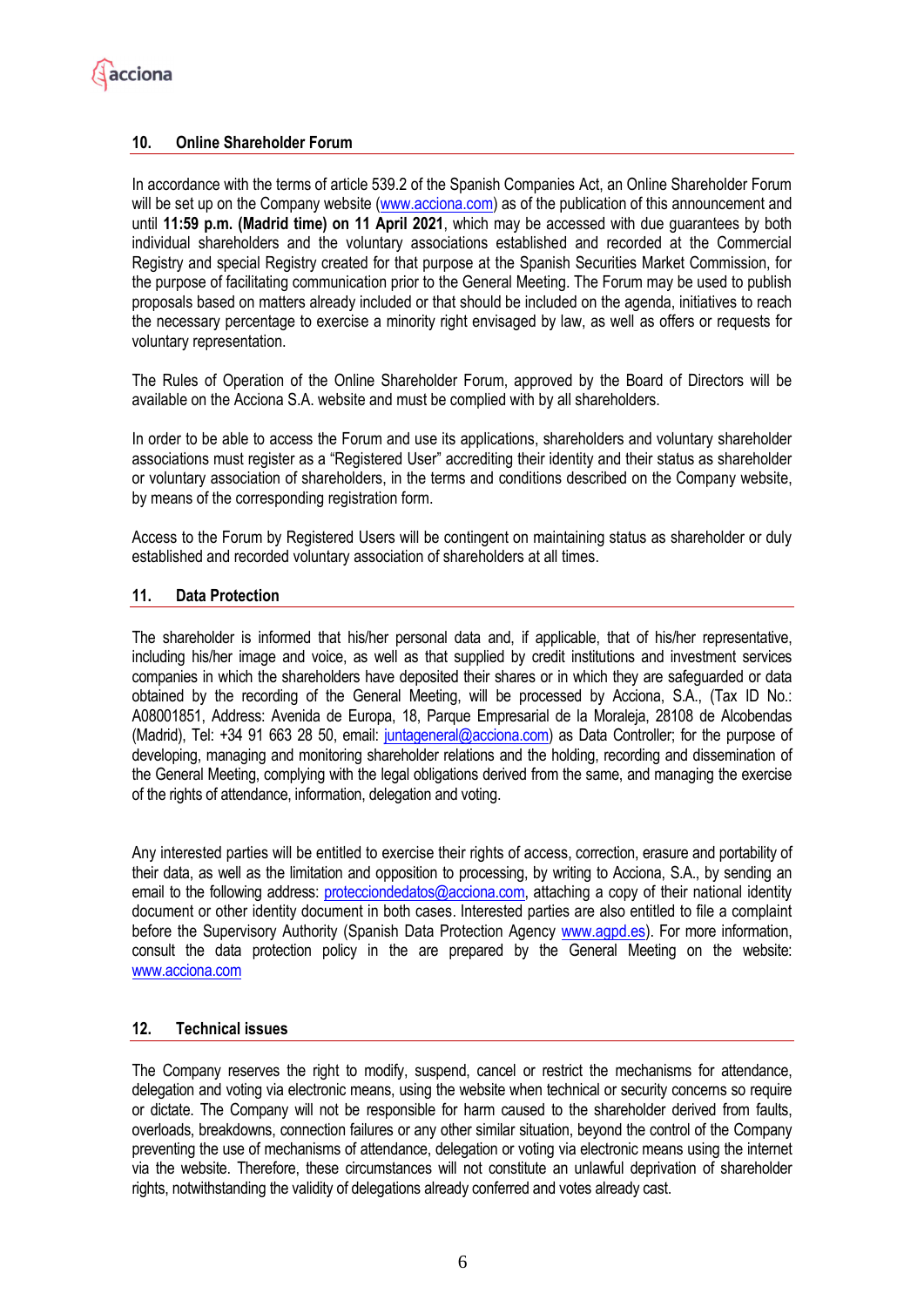# **10. Online Shareholder Forum**

In accordance with the terms of article 539.2 of the Spanish Companies Act, an Online Shareholder Forum will be set up on the Company website [\(www.acciona.com\)](http://www.acciona.es/) as of the publication of this announcement and until **11:59 p.m. (Madrid time) on 11 April 2021**, which may be accessed with due guarantees by both individual shareholders and the voluntary associations established and recorded at the Commercial Registry and special Registry created for that purpose at the Spanish Securities Market Commission, for the purpose of facilitating communication prior to the General Meeting. The Forum may be used to publish proposals based on matters already included or that should be included on the agenda, initiatives to reach the necessary percentage to exercise a minority right envisaged by law, as well as offers or requests for voluntary representation.

The Rules of Operation of the Online Shareholder Forum, approved by the Board of Directors will be available on the Acciona S.A. website and must be complied with by all shareholders.

In order to be able to access the Forum and use its applications, shareholders and voluntary shareholder associations must register as a "Registered User" accrediting their identity and their status as shareholder or voluntary association of shareholders, in the terms and conditions described on the Company website, by means of the corresponding registration form.

Access to the Forum by Registered Users will be contingent on maintaining status as shareholder or duly established and recorded voluntary association of shareholders at all times.

# **11. Data Protection**

The shareholder is informed that his/her personal data and, if applicable, that of his/her representative, including his/her image and voice, as well as that supplied by credit institutions and investment services companies in which the shareholders have deposited their shares or in which they are safeguarded or data obtained by the recording of the General Meeting, will be processed by Acciona, S.A., (Tax ID No.: A08001851, Address: Avenida de Europa, 18, Parque Empresarial de la Moraleja, 28108 de Alcobendas (Madrid), Tel: +34 91 663 28 50, email: [juntageneral@acciona.com\)](mailto:juntageneral@acciona.com) as Data Controller; for the purpose of developing, managing and monitoring shareholder relations and the holding, recording and dissemination of the General Meeting, complying with the legal obligations derived from the same, and managing the exercise of the rights of attendance, information, delegation and voting.

Any interested parties will be entitled to exercise their rights of access, correction, erasure and portability of their data, as well as the limitation and opposition to processing, by writing to Acciona, S.A., by sending an email to the following address: [protecciondedatos@acciona.com,](mailto:protecciondedatos@acciona.com) attaching a copy of their national identity document or other identity document in both cases. Interested parties are also entitled to file a complaint before the Supervisory Authority (Spanish Data Protection Agency [www.agpd.es\)](http://www.agpd.es/). For more information, consult the data protection policy in the are prepared by the General Meeting on the website: [www.acciona.com](http://www.acciona.com/)

# **12. Technical issues**

The Company reserves the right to modify, suspend, cancel or restrict the mechanisms for attendance, delegation and voting via electronic means, using the website when technical or security concerns so require or dictate. The Company will not be responsible for harm caused to the shareholder derived from faults, overloads, breakdowns, connection failures or any other similar situation, beyond the control of the Company preventing the use of mechanisms of attendance, delegation or voting via electronic means using the internet via the website. Therefore, these circumstances will not constitute an unlawful deprivation of shareholder rights, notwithstanding the validity of delegations already conferred and votes already cast.